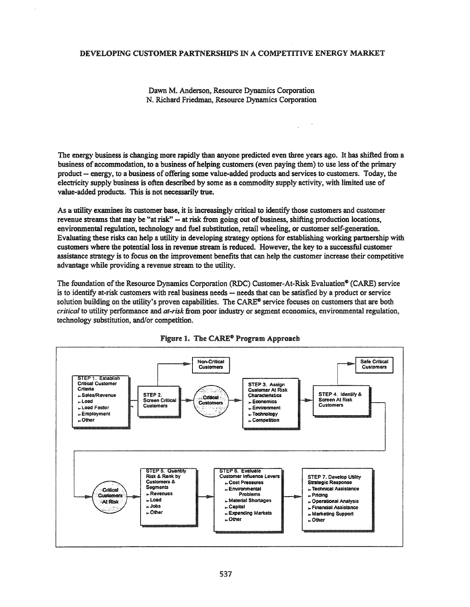#### DEVELOPING CUSTOMER PARTNERSHIPS IN A COMPETITIVE ENERGY MARKET

Dawn M. Anderson, Resource Dynamics Corporation N. Richard Friedman, Resource Dynamics Corporation

 $\mathbf{r}$ 

The energy business is changing more rapidly than anyone predicted even three years ago. It has shifted from a business of accommodation, to a business of helping customers (even paying them) to use less of the primary product -- energy, to a business of offering some value-added products and services to customers. Today, the electricity supply business is often described by some as a commodity supply activity, with limited use of value-added products. This is not necessarily true.

As a utility examines its customer base, it is increasingly critical to identify those customers and customer revenue streams that may be "at risk" - at risk from going out of business, shifting production locations, environmental regulation, technology and fuel substitution, retail wheeling, or customer self-generation. Evaluating these risks can help a utility in developing strategy options for establishing working partnership with customers where the potential loss in revenue stream is reduced. However, the key to a successful customer assistance strategy is to focus on the improvement benefits that can help the customer increase their competitive advantage while providing a revenue stream to the utility.

The foundation of the Resource Dynamics Corporation (RDC) Customer-At-Risk Evaluation<sup>®</sup> (CARE) service is to identify at-risk customers with real business needs -- needs that can be satisfied by a product or service solution building on the utility's proven capabilities. The  $CARE^{\circ}$  service focuses on customers that are both *critical* to utility performance and *at-risk* from poor industry or segment economics, environmental regulation, technology substitution, and/or competition.



Figure 1. The CARE@ Program Approacb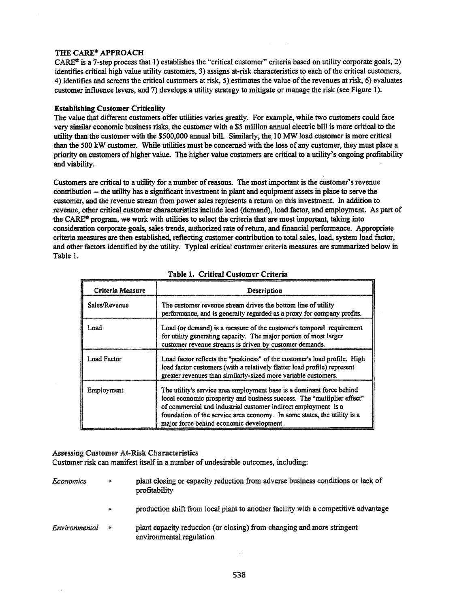### THE CARE\* APPROACH

 $CARE<sup>®</sup>$  is a 7-step process that 1) establishes the "critical customer" criteria based on utility corporate goals, 2) identifies critical high value utility customers, 3) assigns at-risk characteristics to each of the critical customers, 4) identifies and screens the critical customers at risk, 5) estimates the value of the revenues at risk, 6) evaluates customer influence levers, and 7) develops a utility strategy to mitigate or manage the risk (see Figure 1).

#### **Establishing Customer Criticality**

The value that different customers offer utilities varies greatly. For example, while two customers could face very similar economic business risks, the customer with a \$5 million annual electric bill is more critical to the utility than the customer with the \$500,000 annual bill. Similarly, the. 10 MW load customer is more critical than the 500 kW customer. While utilities must be concerned with the loss of any customer, they must place a priority on customers ofhigher value. The higher value customers are critical to a utility's ongoing profitability and viability.

Customers are critical to a utility for a number ofreasons. The most important is the customer's revenue contribution -- the utility has a significant investment in plant and equipment assets in place to serve the customer, and the revenue stream from power sales represents a return on this investment. In addition to revenue, other critical customer characteristics include load (demand), load factor, and employment. As part of the CARE<sup>®</sup> program, we work with utilities to select the criteria that are most important, taking into consideration corporate goals, sales trends, authorized rate of return, and financial performance. Appropriate criteria measures are then established, reflecting customer contribution to total sales, load, system load factor, and other factors identified by the utility. Typical critical customer criteria measures are summarized below in Table 1.

| Criteria Measure | Description                                                                                                                                                                                                                                                                                                                                |
|------------------|--------------------------------------------------------------------------------------------------------------------------------------------------------------------------------------------------------------------------------------------------------------------------------------------------------------------------------------------|
| Sales/Revenue    | The customer revenue stream drives the bottom line of utility<br>performance, and is generally regarded as a proxy for company profits.                                                                                                                                                                                                    |
| Load.            | Load (or demand) is a measure of the customer's temporal requirement<br>for utility generating capacity. The major portion of most larger<br>customer revenue streams is driven by customer demands.                                                                                                                                       |
| Load Factor      | Load factor reflects the "peakiness" of the customer's load profile. High<br>load factor customers (with a relatively flatter load profile) represent<br>greater revenues than similarly-sized more variable customers.                                                                                                                    |
| Employment       | The utility's service area employment base is a dominant force behind<br>local economic prosperity and business success. The "multiplier effect"<br>of commercial and industrial customer indirect employment is a<br>foundation of the service area economy. In some states, the utility is a<br>major force behind economic development. |

## Table 1. Critical Customer Criteria

#### Assessing Customer At-Risk Characteristics

Customer risk can manifest itself in a number of undesirable outcomes, including:

| Economics     | ۰ | plant closing or capacity reduction from adverse business conditions or lack of<br>profitability   |
|---------------|---|----------------------------------------------------------------------------------------------------|
|               | Þ | production shift from local plant to another facility with a competitive advantage                 |
| Environmental | Þ | plant capacity reduction (or closing) from changing and more stringent<br>environmental regulation |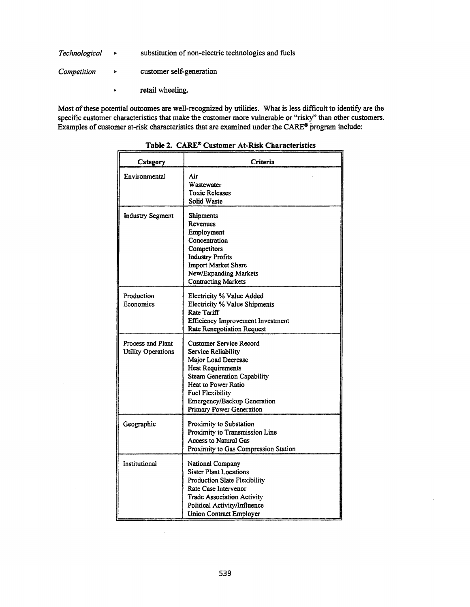- *Technological •* substitution of non-electric technologies and fuels
- *Competition •* customer self-generation
	- retail wheeling.

Most of these potential outcomes are well-recognized by utilities. What is less difficult to identify are the specific customer characteristics that make the customer more vulnerable or "risky" than other customers. Examples of customer at-risk characteristics that are examined under the CARE® program include:

| Category                                | Criteria                                                                                                                                                                                                                                             |
|-----------------------------------------|------------------------------------------------------------------------------------------------------------------------------------------------------------------------------------------------------------------------------------------------------|
| Environmental                           | Air<br>Wastewater<br><b>Toxic Releases</b><br>Solid Waste                                                                                                                                                                                            |
| Industry Segment                        | Shipments<br>Revenues<br>Employment<br>Concentration<br>Competitors<br><b>Industry Profits</b><br>Import Market Share<br>New/Expanding Markets<br><b>Contracting Markets</b>                                                                         |
| Production<br>Economics                 | Electricity % Value Added<br>Electricity % Value Shipments<br><b>Rate Tariff</b><br>Efficiency Improvement Investment<br>Rate Renegotiation Request                                                                                                  |
| Process and Plant<br>Utility Operations | Customer Service Record<br>Service Reliability<br>Maior Load Decrease<br>Heat Requirements<br><b>Steam Generation Capability</b><br>Heat to Power Ratio<br><b>Fuel Flexibility</b><br>Emergency/Backup Generation<br><b>Primary Power Generation</b> |
| Geographic                              | Proximity to Substation<br>Proximity to Transmission Line<br>Access to Natural Gas<br>Proximity to Gas Compression Station                                                                                                                           |
| Institutional                           | National Company<br><b>Sister Plant Locations</b><br><b>Production Slate Flexibility</b><br>Rate Case Intervenor<br><b>Trade Association Activity</b><br>Political Activity/Influence<br><b>Union Contract Employer</b>                              |

Table 2. CARE<sup>®</sup> Customer At-Risk Characteristics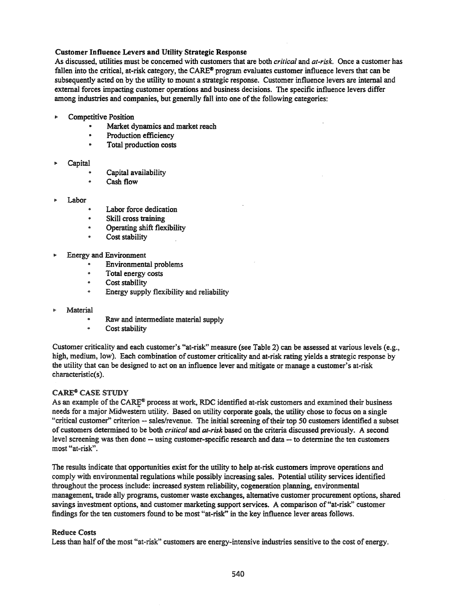# Customer Influence Levers and Utility Strategic Response

As discussed, utilities must be concerned with customers that are both *critical* and *at-risk.* Once a customer has fallen into the critical, at-risk category, the CARE<sup>®</sup> program evaluates customer influence levers that can be subsequently acted on by the utility to mount a strategic response. Customer influence levers are internal and external forces impacting customer operations and business decisions. The specific influence levers differ among industries and companies, but generally fall into one of the following categories:

- Competitive Position
	- Market dynamics and market reach
	- $\bullet$ Production efficiency
	- Total production costs
- Capital
	- Capital availability
	- Cash flow
- Labor
	- Labor force dedication
	- Skill cross training
	- Operating shift flexibility
	- Cost stability
- Energy and Environment
	- Environmental problems
	- Total energy costs
	- .. Cost stability
	- Energy supply flexibility and reliability
- **Material** 
	- $\bullet$ Raw and intermediate material supply
	- $\bullet$ Cost stability

Customer criticality and each customer's "at-risk" measure (see Table 2) can be assessed at various levels (e.g., high, medium, low). Each combination of customer criticality and at-risk rating yields a strategic response by the utility that can be designed to act on an influence lever and mitigate or manage a customer's at-risk characteristic(s).

## CARE@ CASE STUDY

As an example of the CARE® process at work, RDC identified at-risk customers and examined their business needs for a major Midwestern utility. Based on utility corporate goals, the utility chose to focus on a single "critical customer" criterion - sales/revenue. The initial screening oftheir top SO customers identified a subset of customers determined to be both *critical* and *at-risk* based on the criteria discussed previously. A second level screening was then done -- using customer-specific research and data -- to determine the ten customers most "at-risk".

The results indicate that opportunities exist for the utility to help at-risk customers improve operations and comply with environmental regulations while possibly increasing sales. Potential utility services identified throughout the process include: increased system reliability, cogeneration planning, environmental management, trade ally programs, customer waste exchanges, alternative customer procurement options, shared savings investment options, and customer marketing support services. A comparison of "at-risk" customer findings for the ten customers found to be most "at-risk" in the key influence lever areas follows.

#### Reduce Costs

Less than half of the most "at-risk" customers are energy-intensive industries sensitive to the cost of energy.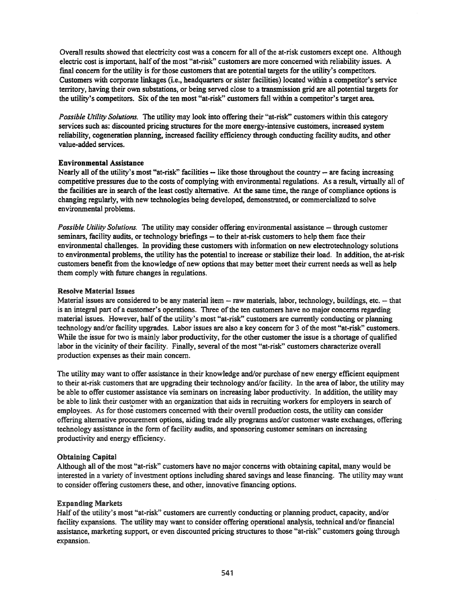Overall results showed that electricity cost was a concern for all ofthe at-risk customers except one. Although electric cost is important, half of the most "at-risk" customers are more concerned with reliability issues. A final concern for the utility is for those customers that are potential targets for the utility's competitors. Customers with corporate linkages (Le., headquarters or sister facilities) located within a competitor's service territory, having their own substations, or being served close to a transmission grid are all potential targets for the utility's competitors. Six of the ten most "at-risk" customers fall within a competitor's target area.

*Possible Utility Solutions.* The utility may look into offering their "at-risk" customers within this category services such as: discounted pricing structures for the more energy-intensive customers, increased system reliability, cogeneratian planning, increased facility efficiency through conducting facility audits, and other value-added services.

## Environmental Assistance

Nearly all of the utility's most "at-risk" facilities  $-$  like those throughout the country  $-$  are facing increasing competitive pressures due to the costs of complying with environmental regulations. As a result, virtually all of the facilities are in search of the least costly alternative. At the same time, the range of compliance options is changing regularly, with new technologies being developed, demonstrated, or commercialized to solve environmental problems.

*Possible Utility Solutions.* The utility may consider offering environmental assistance - through customer seminars, facility audits, or technology briefings -- to their at-risk customers to help them face their environmental challenges. In providing these customers with information on new eleetrotechnology solutions to environmental problems, the utility has the potential to increase or stabilize their load. In addition, the at-risk customers benefit from the knowledge of new options that may better meet their current needs as well as help them comply with future changes in regulations.

### Resolve Material Issues

Material issues are considered to be any material item - raw materials, labor, technology, buildings, etc. -- that is an integral part of a customer's operations. Three of the ten customers have no major concerns regarding material issues. However, half of the utility's most "at-risk" customers are currently conducting or planning technology and/or facility upgrades. Labor issues are also a key concern for 3 of the most "at-risk" customers. While the issue for two is mainly labor productivity, for the other customer the issue is a shortage of qualified labor in the vicinity of their facility. Finally, several of the most "at-risk" customers characterize overall production expenses as their main concern.

The utility may want to offer assistance in their knowledge and/or purchase of new energy efficient equipment to their at-risk customers that are upgrading their technology and/or facility. In the area of labor, the utility may be able to offer customer assistance via seminars on increasing labor productivity. In addition, the utility may be able to link their customer with an organization that aids in recruiting workers for employers in search of employees. As for those customers concerned with their overall production costs, the utility can consider offering alternative procurement options, aiding trade ally programs andlor customer waste exchanges, offering technology assistance in the form of facility audits, and sponsoring customer seminars on increasing productivity and energy efficiency.

#### Obtaining Capital

Although all of the most "at-risk" customers have no major concerns with obtaining capital, many would be interested in a variety of investment options including shared savings and lease financing. The utility may want to consider offering customers these, and other, innovative fmancing options.

## Expanding Markets

Half of the utility's most "at-risk" customers are currently conducting or planning product, capacity, and/or facility expansions. The utility may want to consider offering operational analysis, technical and/or financial assistance, marketing support, or even discounted pricing structures to those "at-risk" customers going through expansion.